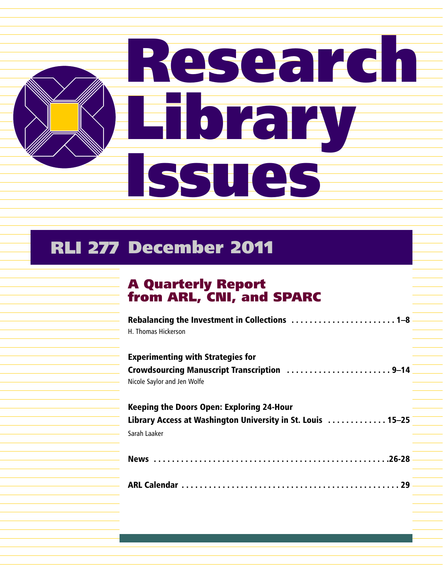

## RLI 277 December 2011

## A Quarterly Report from ARL, CNI, and SPARC

| H. Thomas Hickerson                                                                                                             |  |
|---------------------------------------------------------------------------------------------------------------------------------|--|
| <b>Experimenting with Strategies for</b><br>Crowdsourcing Manuscript Transcription 9-14<br>Nicole Saylor and Jen Wolfe          |  |
| <b>Keeping the Doors Open: Exploring 24-Hour</b><br>Library Access at Washington University in St. Louis  15-25<br>Sarah Laaker |  |
|                                                                                                                                 |  |
|                                                                                                                                 |  |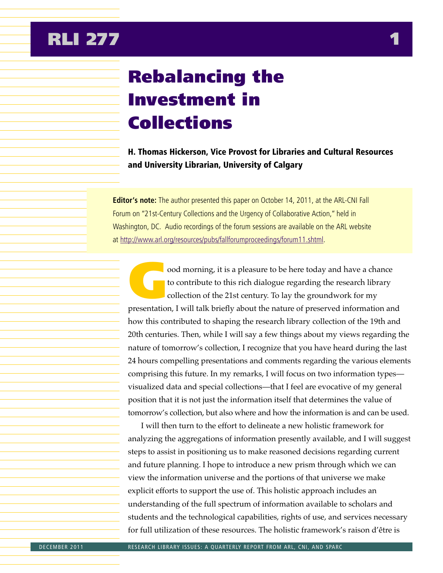## Rebalancing the Investment in Collections

H. Thomas Hickerson, Vice Provost for Libraries and Cultural Resources and University Librarian, University of Calgary

**Editor's note:** The author presented this paper on October 14, 2011, at the ARL-CNI Fall Forum on "21st-Century Collections and the Urgency of Collaborative Action," held in Washington, DC. Audio recordings of the forum sessions are available on the ARL website at http://www.arl.org/resources/pubs/fallforumproceedings/forum11.shtml.

ood morning, it is a pleasure to be here today and have a chance<br>to contribute to this rich dialogue regarding the research library<br>collection of the 21st century. To lay the groundwork for my<br>presentation I will talk brie to contribute to this rich dialogue regarding the research library collection of the 21st century. To lay the groundwork for my presentation, I will talk briefly about the nature of preserved information and how this contributed to shaping the research library collection of the 19th and 20th centuries. Then, while I will say a few things about my views regarding the nature of tomorrow's collection, I recognize that you have heard during the last 24 hours compelling presentations and comments regarding the various elements comprising this future. In my remarks, I will focus on two information types visualized data and special collections—that I feel are evocative of my general position that it is not just the information itself that determines the value of tomorrow's collection, but also where and how the information is and can be used.

I will then turn to the effort to delineate a new holistic framework for analyzing the aggregations of information presently available, and I will suggest steps to assist in positioning us to make reasoned decisions regarding current and future planning. I hope to introduce a new prism through which we can view the information universe and the portions of that universe we make explicit efforts to support the use of. This holistic approach includes an understanding of the full spectrum of information available to scholars and students and the technological capabilities, rights of use, and services necessary for full utilization of these resources. The holistic framework's raison d'être is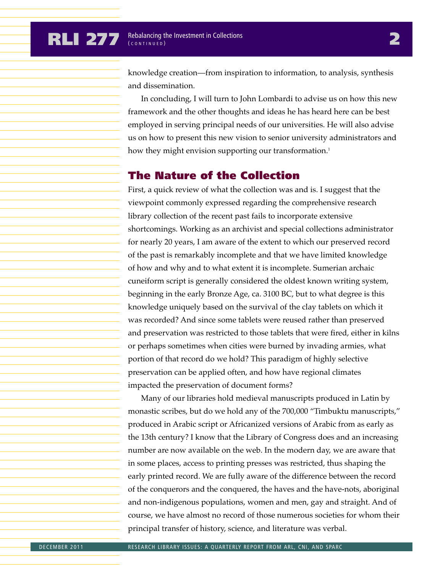knowledge creation—from inspiration to information, to analysis, synthesis and dissemination.

In concluding, I will turn to John Lombardi to advise us on how this new framework and the other thoughts and ideas he has heard here can be best employed in serving principal needs of our universities. He will also advise us on how to present this new vision to senior university administrators and how they might envision supporting our transformation.<sup>1</sup>

## The Nature of the Collection

First, a quick review of what the collection was and is. I suggest that the viewpoint commonly expressed regarding the comprehensive research library collection of the recent past fails to incorporate extensive shortcomings. Working as an archivist and special collections administrator for nearly 20 years, I am aware of the extent to which our preserved record of the past is remarkably incomplete and that we have limited knowledge of how and why and to what extent it is incomplete. Sumerian archaic cuneiform script is generally considered the oldest known writing system, beginning in the early Bronze Age, ca. 3100 BC, but to what degree is this knowledge uniquely based on the survival of the clay tablets on which it was recorded? And since some tablets were reused rather than preserved and preservation was restricted to those tablets that were fired, either in kilns or perhaps sometimes when cities were burned by invading armies, what portion of that record do we hold? This paradigm of highly selective preservation can be applied often, and how have regional climates impacted the preservation of document forms?

Many of our libraries hold medieval manuscripts produced in Latin by monastic scribes, but do we hold any of the 700,000 "Timbuktu manuscripts," produced in Arabic script or Africanized versions of Arabic from as early as the 13th century? I know that the Library of Congress does and an increasing number are now available on the web. In the modern day, we are aware that in some places, access to printing presses was restricted, thus shaping the early printed record. We are fully aware of the difference between the record of the conquerors and the conquered, the haves and the have-nots, aboriginal and non-indigenous populations, women and men, gay and straight. And of course, we have almost no record of those numerous societies for whom their principal transfer of history, science, and literature was verbal.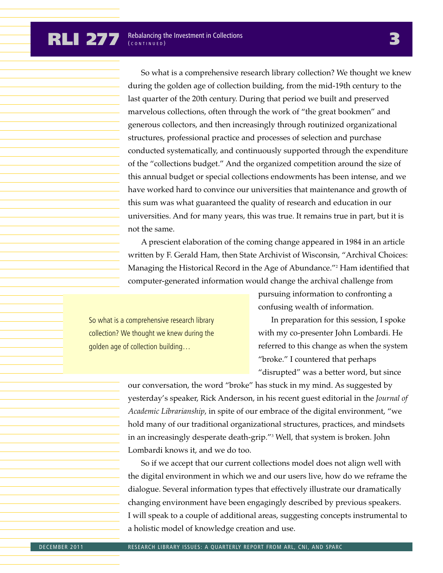So what is a comprehensive research library collection? We thought we knew during the golden age of collection building, from the mid-19th century to the last quarter of the 20th century. During that period we built and preserved marvelous collections, often through the work of "the great bookmen" and generous collectors, and then increasingly through routinized organizational structures, professional practice and processes of selection and purchase conducted systematically, and continuously supported through the expenditure of the "collections budget." And the organized competition around the size of this annual budget or special collections endowments has been intense, and we have worked hard to convince our universities that maintenance and growth of this sum was what guaranteed the quality of research and education in our universities. And for many years, this was true. It remains true in part, but it is not the same.

A prescient elaboration of the coming change appeared in 1984 in an article written by F. Gerald Ham, then State Archivist of Wisconsin, "Archival Choices: Managing the Historical Record in the Age of Abundance."2 Ham identified that computer-generated information would change the archival challenge from

So what is a comprehensive research library collection? We thought we knew during the golden age of collection building…

pursuing information to confronting a confusing wealth of information.

In preparation for this session, I spoke with my co-presenter John Lombardi. He referred to this change as when the system "broke." I countered that perhaps "disrupted" was a better word, but since

our conversation, the word "broke" has stuck in my mind. As suggested by yesterday's speaker, Rick Anderson, in his recent guest editorial in the *Journal of Academic Librarianship*, in spite of our embrace of the digital environment, "we hold many of our traditional organizational structures, practices, and mindsets in an increasingly desperate death-grip."3 Well, that system is broken. John Lombardi knows it, and we do too.

So if we accept that our current collections model does not align well with the digital environment in which we and our users live, how do we reframe the dialogue. Several information types that effectively illustrate our dramatically changing environment have been engagingly described by previous speakers. I will speak to a couple of additional areas, suggesting concepts instrumental to a holistic model of knowledge creation and use.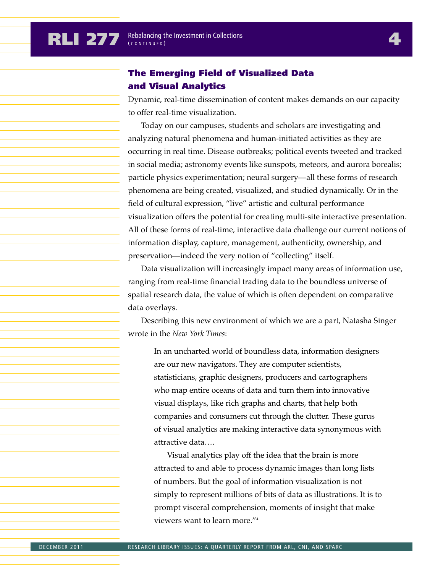### The Emerging Field of Visualized Data and Visual Analytics

Dynamic, real-time dissemination of content makes demands on our capacity to offer real-time visualization.

Today on our campuses, students and scholars are investigating and analyzing natural phenomena and human-initiated activities as they are occurring in real time. Disease outbreaks; political events tweeted and tracked in social media; astronomy events like sunspots, meteors, and aurora borealis; particle physics experimentation; neural surgery—all these forms of research phenomena are being created, visualized, and studied dynamically. Or in the field of cultural expression, "live" artistic and cultural performance visualization offers the potential for creating multi-site interactive presentation. All of these forms of real-time, interactive data challenge our current notions of information display, capture, management, authenticity, ownership, and preservation—indeed the very notion of "collecting" itself.

Data visualization will increasingly impact many areas of information use, ranging from real-time financial trading data to the boundless universe of spatial research data, the value of which is often dependent on comparative data overlays.

Describing this new environment of which we are a part, Natasha Singer wrote in the *New York Times*:

In an uncharted world of boundless data, information designers are our new navigators. They are computer scientists, statisticians, graphic designers, producers and cartographers who map entire oceans of data and turn them into innovative visual displays, like rich graphs and charts, that help both companies and consumers cut through the clutter. These gurus of visual analytics are making interactive data synonymous with attractive data….

Visual analytics play off the idea that the brain is more attracted to and able to process dynamic images than long lists of numbers. But the goal of information visualization is not simply to represent millions of bits of data as illustrations. It is to prompt visceral comprehension, moments of insight that make viewers want to learn more."4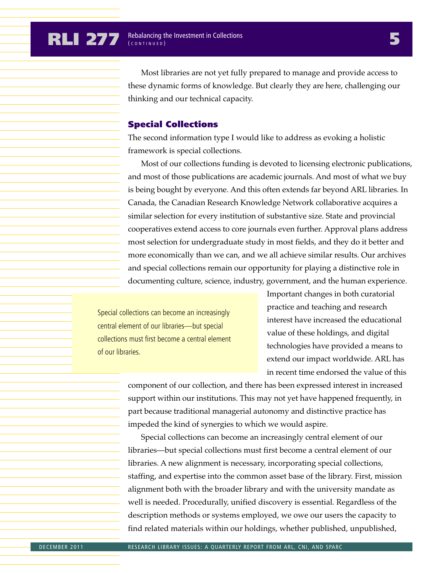Most libraries are not yet fully prepared to manage and provide access to these dynamic forms of knowledge. But clearly they are here, challenging our thinking and our technical capacity.

### Special Collections

The second information type I would like to address as evoking a holistic framework is special collections.

Most of our collections funding is devoted to licensing electronic publications, and most of those publications are academic journals. And most of what we buy is being bought by everyone. And this often extends far beyond ARL libraries. In Canada, the Canadian Research Knowledge Network collaborative acquires a similar selection for every institution of substantive size. State and provincial cooperatives extend access to core journals even further. Approval plans address most selection for undergraduate study in most fields, and they do it better and more economically than we can, and we all achieve similar results. Our archives and special collections remain our opportunity for playing a distinctive role in documenting culture, science, industry, government, and the human experience.

Special collections can become an increasingly central element of our libraries—but special collections must first become a central element of our libraries.

Important changes in both curatorial practice and teaching and research interest have increased the educational value of these holdings, and digital technologies have provided a means to extend our impact worldwide. ARL has in recent time endorsed the value of this

component of our collection, and there has been expressed interest in increased support within our institutions. This may not yet have happened frequently, in part because traditional managerial autonomy and distinctive practice has impeded the kind of synergies to which we would aspire.

Special collections can become an increasingly central element of our libraries—but special collections must first become a central element of our libraries. A new alignment is necessary, incorporating special collections, staffing, and expertise into the common asset base of the library. First, mission alignment both with the broader library and with the university mandate as well is needed. Procedurally, unified discovery is essential. Regardless of the description methods or systems employed, we owe our users the capacity to find related materials within our holdings, whether published, unpublished,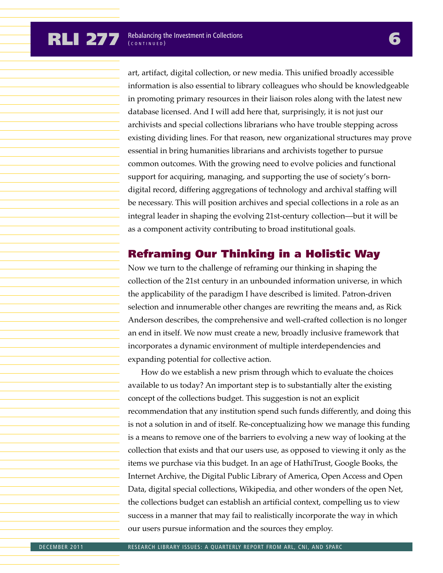art, artifact, digital collection, or new media. This unified broadly accessible information is also essential to library colleagues who should be knowledgeable in promoting primary resources in their liaison roles along with the latest new database licensed. And I will add here that, surprisingly, it is not just our archivists and special collections librarians who have trouble stepping across existing dividing lines. For that reason, new organizational structures may prove essential in bring humanities librarians and archivists together to pursue common outcomes. With the growing need to evolve policies and functional support for acquiring, managing, and supporting the use of society's borndigital record, differing aggregations of technology and archival staffing will be necessary. This will position archives and special collections in a role as an integral leader in shaping the evolving 21st-century collection—but it will be as a component activity contributing to broad institutional goals.

## Reframing Our Thinking in a Holistic Way

Now we turn to the challenge of reframing our thinking in shaping the collection of the 21st century in an unbounded information universe, in which the applicability of the paradigm I have described is limited. Patron-driven selection and innumerable other changes are rewriting the means and, as Rick Anderson describes, the comprehensive and well-crafted collection is no longer an end in itself. We now must create a new, broadly inclusive framework that incorporates a dynamic environment of multiple interdependencies and expanding potential for collective action.

How do we establish a new prism through which to evaluate the choices available to us today? An important step is to substantially alter the existing concept of the collections budget. This suggestion is not an explicit recommendation that any institution spend such funds differently, and doing this is not a solution in and of itself. Re-conceptualizing how we manage this funding is a means to remove one of the barriers to evolving a new way of looking at the collection that exists and that our users use, as opposed to viewing it only as the items we purchase via this budget. In an age of HathiTrust, Google Books, the Internet Archive, the Digital Public Library of America, Open Access and Open Data, digital special collections, Wikipedia, and other wonders of the open Net, the collections budget can establish an artificial context, compelling us to view success in a manner that may fail to realistically incorporate the way in which our users pursue information and the sources they employ.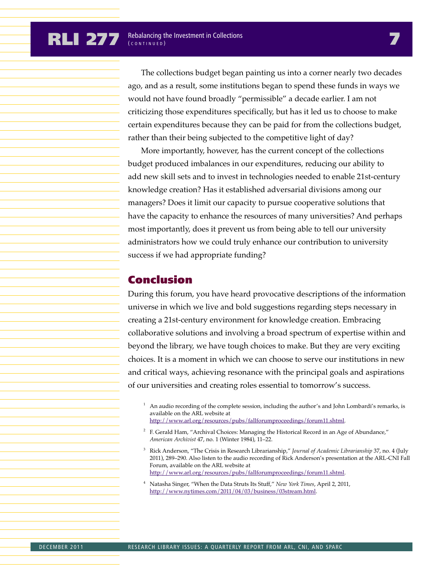The collections budget began painting us into a corner nearly two decades ago, and as a result, some institutions began to spend these funds in ways we would not have found broadly "permissible" a decade earlier. I am not criticizing those expenditures specifically, but has it led us to choose to make certain expenditures because they can be paid for from the collections budget, rather than their being subjected to the competitive light of day?

More importantly, however, has the current concept of the collections budget produced imbalances in our expenditures, reducing our ability to add new skill sets and to invest in technologies needed to enable 21st-century knowledge creation? Has it established adversarial divisions among our managers? Does it limit our capacity to pursue cooperative solutions that have the capacity to enhance the resources of many universities? And perhaps most importantly, does it prevent us from being able to tell our university administrators how we could truly enhance our contribution to university success if we had appropriate funding?

## Conclusion

During this forum, you have heard provocative descriptions of the information universe in which we live and bold suggestions regarding steps necessary in creating a 21st-century environment for knowledge creation. Embracing collaborative solutions and involving a broad spectrum of expertise within and beyond the library, we have tough choices to make. But they are very exciting choices. It is a moment in which we can choose to serve our institutions in new and critical ways, achieving resonance with the principal goals and aspirations of our universities and creating roles essential to tomorrow's success.

- An audio recording of the complete session, including the author's and John Lombardi's remarks, is available on the ARL website at http://www.arl.org/resources/pubs/fallforumproceedings/forum11.shtml.
- $2$  F. Gerald Ham, "Archival Choices: Managing the Historical Record in an Age of Abundance," *American Archivist* 47, no. 1 (Winter 1984), 11–22.
- <sup>3</sup> Rick Anderson, "The Crisis in Research Librarianship," *Journal of Academic Librarianship* 37, no. 4 (July 2011), 289–290. Also listen to the audio recording of Rick Anderson's presentation at the ARL-CNI Fall Forum, available on the ARL website at http://www.arl.org/resources/pubs/fallforumproceedings/forum11.shtml.
- <sup>4</sup> Natasha Singer, "When the Data Struts Its Stuff," *New York Times*, April 2, 2011, http://www.nytimes.com/2011/04/03/business/03stream.html.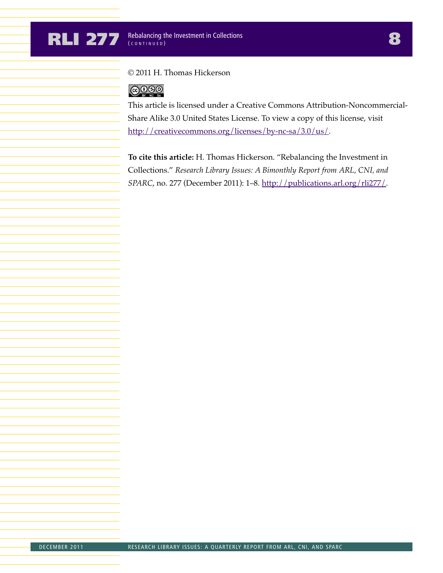### © 2011 H. Thomas Hickerson

## $@0@0$

This article is licensed under a Creative Commons Attribution-Noncommercial-Share Alike 3.0 United States License. To view a copy of this license, visit http://creativecommons.org/licenses/by-nc-sa/3.0/us/.

**To cite this article:** H. Thomas Hickerson. "Rebalancing the Investment in Collections." *Research Library Issues: A Bimonthly Report from ARL, CNI, and SPARC*, no. 277 (December 2011): 1–8. http://publications.arl.org/rli277/.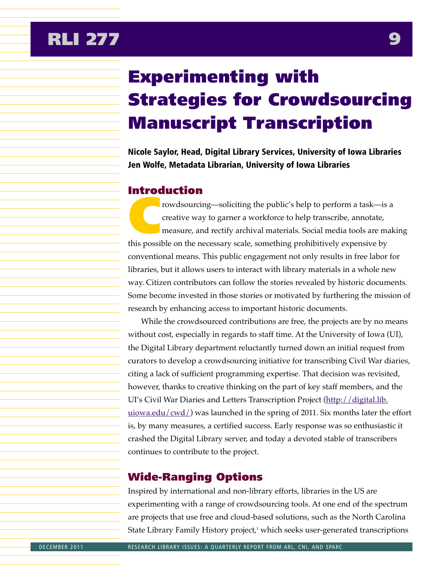# Experimenting with Strategies for Crowdsourcing Manuscript Transcription

Nicole Saylor, Head, Digital Library Services, University of Iowa Libraries Jen Wolfe, Metadata Librarian, University of Iowa Libraries

### Introduction

rowdsourcing—soliciting the public's help to perform a task—is a<br>creative way to garner a workforce to help transcribe, annotate,<br>measure, and rectify archival materials. Social media tools are mal<br>this possible on the pec creative way to garner a workforce to help transcribe, annotate, measure, and rectify archival materials. Social media tools are making this possible on the necessary scale, something prohibitively expensive by conventional means. This public engagement not only results in free labor for libraries, but it allows users to interact with library materials in a whole new way. Citizen contributors can follow the stories revealed by historic documents. Some become invested in those stories or motivated by furthering the mission of research by enhancing access to important historic documents.

While the crowdsourced contributions are free, the projects are by no means without cost, especially in regards to staff time. At the University of Iowa (UI), the Digital Library department reluctantly turned down an initial request from curators to develop a crowdsourcing initiative for transcribing Civil War diaries, citing a lack of sufficient programming expertise. That decision was revisited, however, thanks to creative thinking on the part of key staff members, and the UI's Civil War Diaries and Letters Transcription Project (http://digital.lib. <u>uiowa.edu/cwd/</u>) was launched in the spring of 2011. Six months later the effort is, by many measures, a certified success. Early response was so enthusiastic it crashed the Digital Library server, and today a devoted stable of transcribers continues to contribute to the project.

## Wide-Ranging Options

Inspired by international and non-library efforts, libraries in the US are experimenting with a range of crowdsourcing tools. At one end of the spectrum are projects that use free and cloud-based solutions, such as the North Carolina State Library Family History project, $1$  which seeks user-generated transcriptions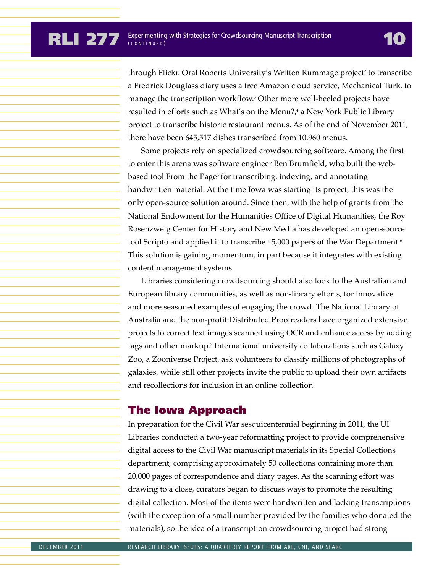through Flickr. Oral Roberts University's Written Rummage project<sup>2</sup> to transcribe a Fredrick Douglass diary uses a free Amazon cloud service, Mechanical Turk, to manage the transcription workflow.3 Other more well-heeled projects have resulted in efforts such as What's on the Menu?,<sup>4</sup> a New York Public Library project to transcribe historic restaurant menus. As of the end of November 2011, there have been 645,517 dishes transcribed from 10,960 menus.

Some projects rely on specialized crowdsourcing software. Among the first to enter this arena was software engineer Ben Brumfield, who built the webbased tool From the Page<sup>5</sup> for transcribing, indexing, and annotating handwritten material. At the time Iowa was starting its project, this was the only open-source solution around. Since then, with the help of grants from the National Endowment for the Humanities Office of Digital Humanities, the Roy Rosenzweig Center for History and New Media has developed an open-source tool Scripto and applied it to transcribe 45,000 papers of the War Department.<sup>6</sup> This solution is gaining momentum, in part because it integrates with existing content management systems.

Libraries considering crowdsourcing should also look to the Australian and European library communities, as well as non-library efforts, for innovative and more seasoned examples of engaging the crowd. The National Library of Australia and the non-profit Distributed Proofreaders have organized extensive projects to correct text images scanned using OCR and enhance access by adding tags and other markup.7 International university collaborations such as Galaxy Zoo, a Zooniverse Project, ask volunteers to classify millions of photographs of galaxies, while still other projects invite the public to upload their own artifacts and recollections for inclusion in an online collection.

### The Iowa Approach

In preparation for the Civil War sesquicentennial beginning in 2011, the UI Libraries conducted a two-year reformatting project to provide comprehensive digital access to the Civil War manuscript materials in its Special Collections department, comprising approximately 50 collections containing more than 20,000 pages of correspondence and diary pages. As the scanning effort was drawing to a close, curators began to discuss ways to promote the resulting digital collection. Most of the items were handwritten and lacking transcriptions (with the exception of a small number provided by the families who donated the materials), so the idea of a transcription crowdsourcing project had strong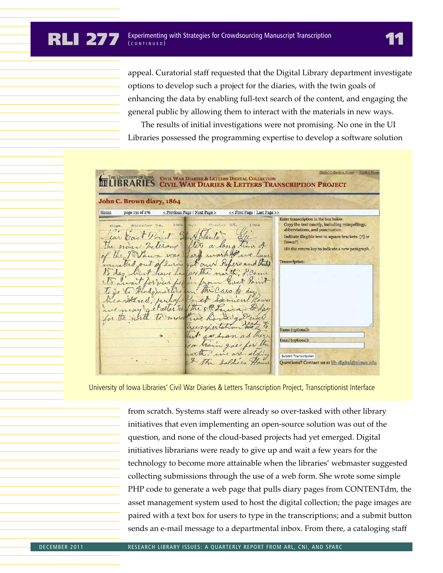appeal. Curatorial staff requested that the Digital Library department investigate options to develop such a project for the diaries, with the twin goals of enhancing the data by enabling full-text search of the content, and engaging the general public by allowing them to interact with the materials in new ways.

The results of initial investigations were not promising. No one in the UI Libraries possessed the programming expertise to develop a software solution

Digital Collection Home Exhibit Hon **CIVIL WAR DIARIES & LETTERS DIGITAL COLLECTION MULIBRARIES CIVIL WAR DIARIES & LETTERS TRANSCRIPTION PROJECT** John C. Brown diary, 1864 Home page 131 of 176 < Previous Page | Next Page > << First Page | Last Page >> Enter transcription in the box below. Sunday 25, 1864 Copy the text exactly, including misspellings, abbreviations, and punctuation.  $\overline{\phantom{a}}$ Car East Point In A Blanto Indicate illegible text in square brackets: [?] or ftown?] The now belerous after a lang time of Hit the return key to indicate a new paragraph. of the 9th Pour was hard work of we have Transcription mustered out of luring got and Papers and Stated to day but have handler the north, I came It await for our paper East Paint To is to Headquarters on the Cars to day Resistered, pubyls Inset Somien Power we may get started the service vergod and theirpertation Name (optional as svan as they nail (optional) for Marin gaes for the with, we are sliping **Submit Transcription** & The Soldiers Hor Questions? Contact us at lib-digital@uiowa.edu

University of Iowa Libraries' Civil War Diaries & Letters Transcription Project, Transcriptionist Interface

from scratch. Systems staff were already so over-tasked with other library initiatives that even implementing an open-source solution was out of the question, and none of the cloud-based projects had yet emerged. Digital initiatives librarians were ready to give up and wait a few years for the technology to become more attainable when the libraries' webmaster suggested collecting submissions through the use of a web form. She wrote some simple PHP code to generate a web page that pulls diary pages from CONTENTdm, the asset management system used to host the digital collection; the page images are paired with a text box for users to type in the transcriptions; and a submit button sends an e-mail message to a departmental inbox. From there, a cataloging staff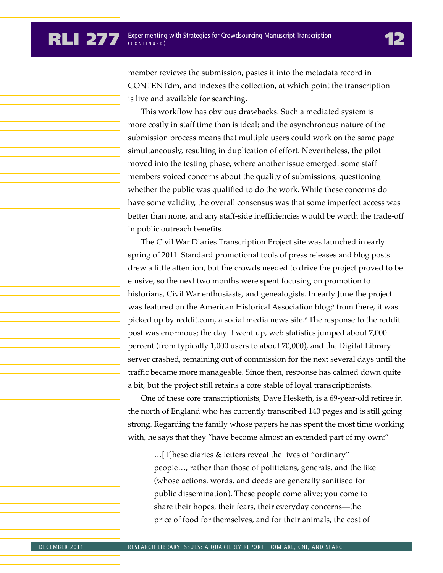member reviews the submission, pastes it into the metadata record in CONTENTdm, and indexes the collection, at which point the transcription is live and available for searching.

This workflow has obvious drawbacks. Such a mediated system is more costly in staff time than is ideal; and the asynchronous nature of the submission process means that multiple users could work on the same page simultaneously, resulting in duplication of effort. Nevertheless, the pilot moved into the testing phase, where another issue emerged: some staff members voiced concerns about the quality of submissions, questioning whether the public was qualified to do the work. While these concerns do have some validity, the overall consensus was that some imperfect access was better than none, and any staff-side inefficiencies would be worth the trade-off in public outreach benefits.

The Civil War Diaries Transcription Project site was launched in early spring of 2011. Standard promotional tools of press releases and blog posts drew a little attention, but the crowds needed to drive the project proved to be elusive, so the next two months were spent focusing on promotion to historians, Civil War enthusiasts, and genealogists. In early June the project was featured on the American Historical Association blog; $^8$  from there, it was picked up by reddit.com, a social media news site.9 The response to the reddit post was enormous; the day it went up, web statistics jumped about 7,000 percent (from typically 1,000 users to about 70,000), and the Digital Library server crashed, remaining out of commission for the next several days until the traffic became more manageable. Since then, response has calmed down quite a bit, but the project still retains a core stable of loyal transcriptionists.

One of these core transcriptionists, Dave Hesketh, is a 69-year-old retiree in the north of England who has currently transcribed 140 pages and is still going strong. Regarding the family whose papers he has spent the most time working with, he says that they "have become almost an extended part of my own:"

…[T]hese diaries & letters reveal the lives of "ordinary" people…, rather than those of politicians, generals, and the like (whose actions, words, and deeds are generally sanitised for public dissemination). These people come alive; you come to share their hopes, their fears, their everyday concerns—the price of food for themselves, and for their animals, the cost of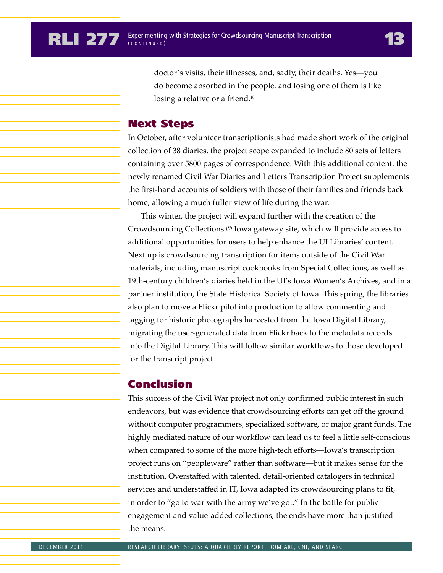doctor's visits, their illnesses, and, sadly, their deaths. Yes—you do become absorbed in the people, and losing one of them is like losing a relative or a friend.<sup>10</sup>

### Next Steps

In October, after volunteer transcriptionists had made short work of the original collection of 38 diaries, the project scope expanded to include 80 sets of letters containing over 5800 pages of correspondence. With this additional content, the newly renamed Civil War Diaries and Letters Transcription Project supplements the first-hand accounts of soldiers with those of their families and friends back home, allowing a much fuller view of life during the war.

This winter, the project will expand further with the creation of the Crowdsourcing Collections @ Iowa gateway site, which will provide access to additional opportunities for users to help enhance the UI Libraries' content. Next up is crowdsourcing transcription for items outside of the Civil War materials, including manuscript cookbooks from Special Collections, as well as 19th-century children's diaries held in the UI's Iowa Women's Archives, and in a partner institution, the State Historical Society of Iowa. This spring, the libraries also plan to move a Flickr pilot into production to allow commenting and tagging for historic photographs harvested from the Iowa Digital Library, migrating the user-generated data from Flickr back to the metadata records into the Digital Library. This will follow similar workflows to those developed for the transcript project.

### Conclusion

This success of the Civil War project not only confirmed public interest in such endeavors, but was evidence that crowdsourcing efforts can get off the ground without computer programmers, specialized software, or major grant funds. The highly mediated nature of our workflow can lead us to feel a little self-conscious when compared to some of the more high-tech efforts—Iowa's transcription project runs on "peopleware" rather than software—but it makes sense for the institution. Overstaffed with talented, detail-oriented catalogers in technical services and understaffed in IT, Iowa adapted its crowdsourcing plans to fit, in order to "go to war with the army we've got." In the battle for public engagement and value-added collections, the ends have more than justified the means.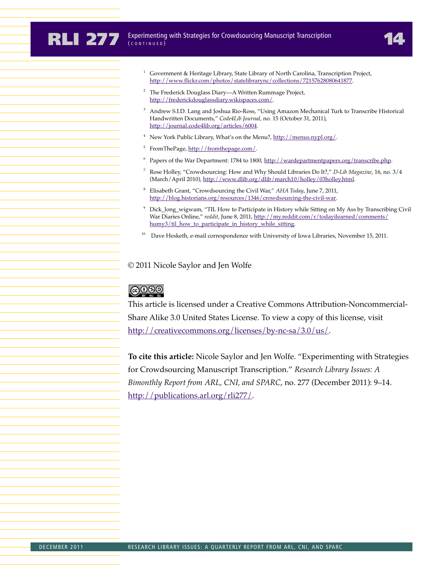- <sup>1</sup> Government & Heritage Library, State Library of North Carolina, Transcription Project, http://www.flickr.com/photos/statelibrarync/collections/72157628080641877.
- <sup>2</sup> The Frederick Douglass Diary—A Written Rummage Project, http://frederickdouglassdiary.wikispaces.com/.
- <sup>3</sup> Andrew S.I.D. Lang and Joshua Rio-Ross, "Using Amazon Mechanical Turk to Transcribe Historical Handwritten Documents," *Code4Lib Journal*, no. 15 (October 31, 2011), http://journal.code4lib.org/articles/6004.
- New York Public Library, What's on the Menu?, http://menus.nypl.org/.
- <sup>5</sup> FromThePage, http://fromthepage.com/.
- $6$  Papers of the War Department: 1784 to 1800, http://wardepartmentpapers.org/transcribe.php.
- <sup>7</sup> Rose Holley, "Crowdsourcing: How and Why Should Libraries Do It?," *D-Lib Magazine*, 16, no. 3/4 (March/April 2010), http://www.dlib.org/dlib/march10/holley/03holley.html.
- <sup>8</sup> Elisabeth Grant, "Crowdsourcing the Civil War," *AHA Today*, June 7, 2011, http://blog.historians.org/resources/1346/crowdsourcing-the-civil-war.
- <sup>9</sup> Dick\_long\_wigwam, "TIL How to Participate in History while Sitting on My Ass by Transcribing Civil War Diaries Online," *reddit*, June 8, 2011, http://my.reddit.com/r/todayilearned/comments/ humy3/til\_how\_to\_participate\_in\_history\_while\_sitting.
- <sup>10</sup> Dave Hesketh, e-mail correspondence with University of Iowa Libraries, November 15, 2011.

#### © 2011 Nicole Saylor and Jen Wolfe

## $6000$

This article is licensed under a Creative Commons Attribution-Noncommercial-Share Alike 3.0 United States License. To view a copy of this license, visit http://creativecommons.org/licenses/by-nc-sa/3.0/us/.

**To cite this article:** Nicole Saylor and Jen Wolfe. "Experimenting with Strategies for Crowdsourcing Manuscript Transcription." *Research Library Issues: A Bimonthly Report from ARL, CNI, and SPARC*, no. 277 (December 2011): 9–14. http://publications.arl.org/rli277/.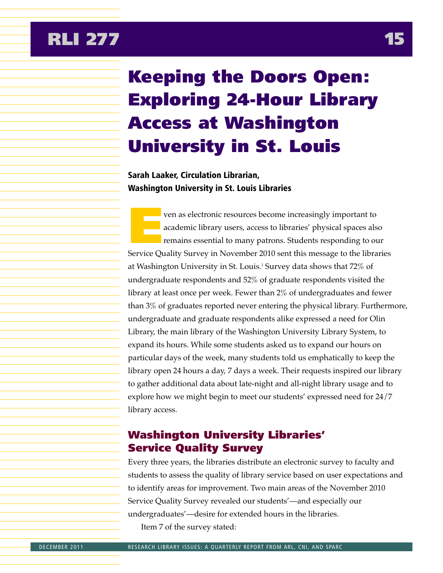# <span id="page-15-0"></span>Keeping the Doors Open: Exploring 24-Hour Library Access at Washington University in St. Louis

## Sarah Laaker, Circulation Librarian, Washington University in St. Louis Libraries

ven as electronic resources become increasingly important to academic library users, access to libraries' physical spaces also remains essential to many patrons. Students responding to our Service Quality Survey in November 2010 sent this message to the libraries at Washington University in St. Louis.<sup>1</sup> Survey data shows that 72% of undergraduate respondents and 52% of graduate respondents visited the library at least once per week. Fewer than 2% of undergraduates and fewer than 3% of graduates reported never entering the physical library. Furthermore, undergraduate and graduate respondents alike expressed a need for Olin Library, the main library of the Washington University Library System, to expand its hours. While some students asked us to expand our hours on particular days of the week, many students told us emphatically to keep the library open 24 hours a day, 7 days a week. Their requests inspired our library to gather additional data about late-night and all-night library usage and to explore how we might begin to meet our students' expressed need for 24/7 library access.

## Washington University Libraries' Service Quality Survey

Every three years, the libraries distribute an electronic survey to faculty and students to assess the quality of library service based on user expectations and to identify areas for improvement. Two main areas of the November 2010 Service Quality Survey revealed our students'—and especially our undergraduates'—desire for extended hours in the libraries. Item 7 of the survey stated: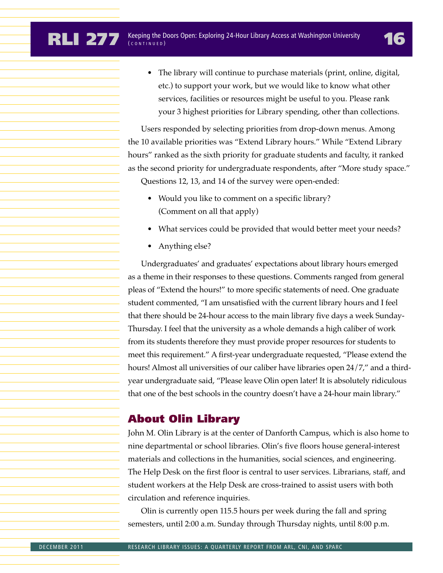• The library will continue to purchase materials (print, online, digital, etc.) to support your work, but we would like to know what other services, facilities or resources might be useful to you. Please rank your 3 highest priorities for Library spending, other than collections.

Users responded by selecting priorities from drop-down menus. Among the 10 available priorities was "Extend Library hours." While "Extend Library hours" ranked as the sixth priority for graduate students and faculty, it ranked as the second priority for undergraduate respondents, after "More study space." Questions 12, 13, and 14 of the survey were open-ended:

- Would you like to comment on a specific library? (Comment on all that apply)
- What services could be provided that would better meet your needs?
- Anything else?

Undergraduates' and graduates' expectations about library hours emerged as a theme in their responses to these questions. Comments ranged from general pleas of "Extend the hours!" to more specific statements of need. One graduate student commented, "I am unsatisfied with the current library hours and I feel that there should be 24-hour access to the main library five days a week Sunday-Thursday. I feel that the university as a whole demands a high caliber of work from its students therefore they must provide proper resources for students to meet this requirement." A first-year undergraduate requested, "Please extend the hours! Almost all universities of our caliber have libraries open 24/7," and a thirdyear undergraduate said, "Please leave Olin open later! It is absolutely ridiculous that one of the best schools in the country doesn't have a 24-hour main library."

## About Olin Library

John M. Olin Library is at the center of Danforth Campus, which is also home to nine departmental or school libraries. Olin's five floors house general-interest materials and collections in the humanities, social sciences, and engineering. The Help Desk on the first floor is central to user services. Librarians, staff, and student workers at the Help Desk are cross-trained to assist users with both circulation and reference inquiries.

Olin is currently open 115.5 hours per week during the fall and spring semesters, until 2:00 a.m. Sunday through Thursday nights, until 8:00 p.m.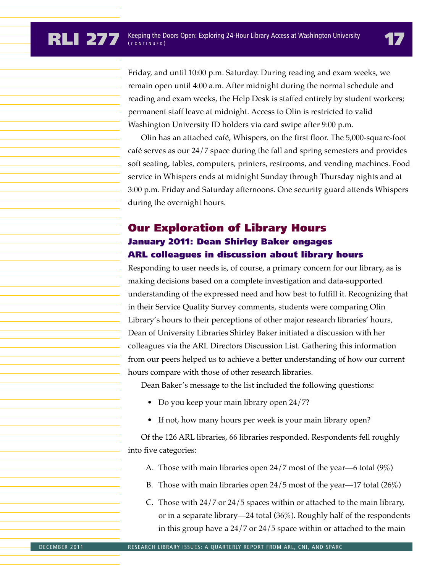Friday, and until 10:00 p.m. Saturday. During reading and exam weeks, we remain open until 4:00 a.m. After midnight during the normal schedule and reading and exam weeks, the Help Desk is staffed entirely by student workers; permanent staff leave at midnight. Access to Olin is restricted to valid Washington University ID holders via card swipe after 9:00 p.m.

Olin has an attached café, Whispers, on the first floor. The 5,000-square-foot café serves as our 24/7 space during the fall and spring semesters and provides soft seating, tables, computers, printers, restrooms, and vending machines. Food service in Whispers ends at midnight Sunday through Thursday nights and at 3:00 p.m. Friday and Saturday afternoons. One security guard attends Whispers during the overnight hours.

## Our Exploration of Library Hours January 2011: Dean Shirley Baker engages ARL colleagues in discussion about library hours

Responding to user needs is, of course, a primary concern for our library, as is making decisions based on a complete investigation and data-supported understanding of the expressed need and how best to fulfill it. Recognizing that in their Service Quality Survey comments, students were comparing Olin Library's hours to their perceptions of other major research libraries' hours, Dean of University Libraries Shirley Baker initiated a discussion with her colleagues via the ARL Directors Discussion List. Gathering this information from our peers helped us to achieve a better understanding of how our current hours compare with those of other research libraries.

Dean Baker's message to the list included the following questions:

- Do you keep your main library open 24/7?
- If not, how many hours per week is your main library open?

Of the 126 ARL libraries, 66 libraries responded. Respondents fell roughly into five categories:

- A. Those with main libraries open 24/7 most of the year—6 total (9%)
- B. Those with main libraries open 24/5 most of the year—17 total (26%)
- C. Those with 24/7 or 24/5 spaces within or attached to the main library, or in a separate library—24 total (36%). Roughly half of the respondents in this group have a 24/7 or 24/5 space within or attached to the main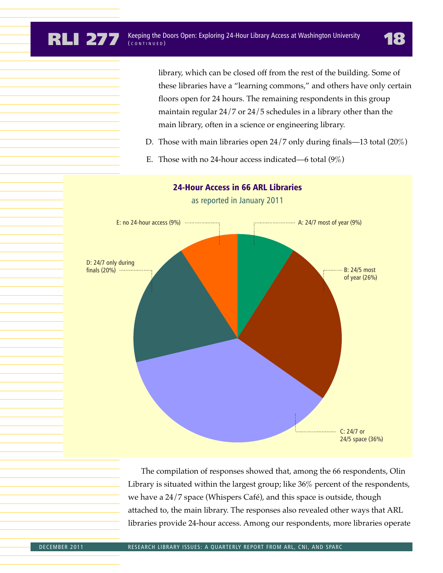library, which can be closed off from the rest of the building. Some of these libraries have a "learning commons," and others have only certain floors open for 24 hours. The remaining respondents in this group maintain regular 24/7 or 24/5 schedules in a library other than the main library, often in a science or engineering library.

- D. Those with main libraries open 24/7 only during finals—13 total (20%)
- E. Those with no 24-hour access indicated—6 total  $(9\%)$



The compilation of responses showed that, among the 66 respondents, Olin Library is situated within the largest group; like 36% percent of the respondents, we have a 24/7 space (Whispers Café), and this space is outside, though attached to, the main library. The responses also revealed other ways that ARL libraries provide 24-hour access. Among our respondents, more libraries operate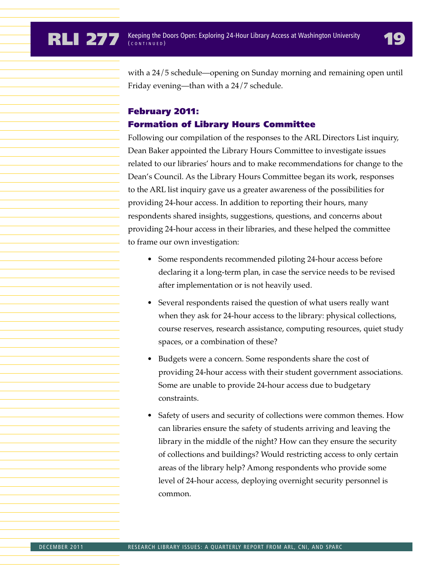with a 24/5 schedule—opening on Sunday morning and remaining open until Friday evening—than with a 24/7 schedule.

## February 2011: Formation of Library Hours Committee

Following our compilation of the responses to the ARL Directors List inquiry, Dean Baker appointed the Library Hours Committee to investigate issues related to our libraries' hours and to make recommendations for change to the Dean's Council. As the Library Hours Committee began its work, responses to the ARL list inquiry gave us a greater awareness of the possibilities for providing 24-hour access. In addition to reporting their hours, many respondents shared insights, suggestions, questions, and concerns about providing 24-hour access in their libraries, and these helped the committee to frame our own investigation:

- Some respondents recommended piloting 24-hour access before declaring it a long-term plan, in case the service needs to be revised after implementation or is not heavily used.
- Several respondents raised the question of what users really want when they ask for 24-hour access to the library: physical collections, course reserves, research assistance, computing resources, quiet study spaces, or a combination of these?
- Budgets were a concern. Some respondents share the cost of providing 24-hour access with their student government associations. Some are unable to provide 24-hour access due to budgetary constraints.
- Safety of users and security of collections were common themes. How can libraries ensure the safety of students arriving and leaving the library in the middle of the night? How can they ensure the security of collections and buildings? Would restricting access to only certain areas of the library help? Among respondents who provide some level of 24-hour access, deploying overnight security personnel is common.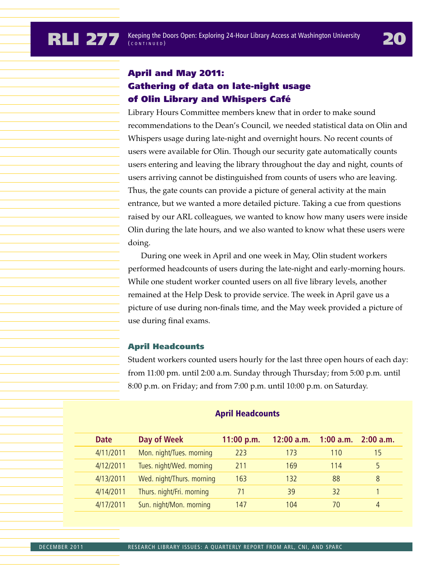## April and May 2011: Gathering of data on late-night usage of Olin Library and Whispers Café

Library Hours Committee members knew that in order to make sound recommendations to the Dean's Council, we needed statistical data on Olin and Whispers usage during late-night and overnight hours. No recent counts of users were available for Olin. Though our security gate automatically counts users entering and leaving the library throughout the day and night, counts of users arriving cannot be distinguished from counts of users who are leaving. Thus, the gate counts can provide a picture of general activity at the main entrance, but we wanted a more detailed picture. Taking a cue from questions raised by our ARL colleagues, we wanted to know how many users were inside Olin during the late hours, and we also wanted to know what these users were doing.

During one week in April and one week in May, Olin student workers performed headcounts of users during the late-night and early-morning hours. While one student worker counted users on all five library levels, another remained at the Help Desk to provide service. The week in April gave us a picture of use during non-finals time, and the May week provided a picture of use during final exams.

#### April Headcounts

Student workers counted users hourly for the last three open hours of each day: from 11:00 pm. until 2:00 a.m. Sunday through Thursday; from 5:00 p.m. until 8:00 p.m. on Friday; and from 7:00 p.m. until 10:00 p.m. on Saturday.

| <b>Date</b> | Day of Week               | 11:00 p.m. | $12:00$ a.m. $1:00$ a.m. $2:00$ a.m. |     |    |
|-------------|---------------------------|------------|--------------------------------------|-----|----|
| 4/11/2011   | Mon. night/Tues. morning  | 223        | 173                                  | 110 | 15 |
| 4/12/2011   | Tues. night/Wed. morning  | 211        | 169                                  | 114 |    |
| 4/13/2011   | Wed. night/Thurs. morning | 163        | 132                                  | 88  | 8  |
| 4/14/2011   | Thurs. night/Fri. morning |            | 39                                   | 32  |    |
| 4/17/2011   | Sun. night/Mon. morning   | 147        | 104                                  | 70  | 4  |

#### April Headcounts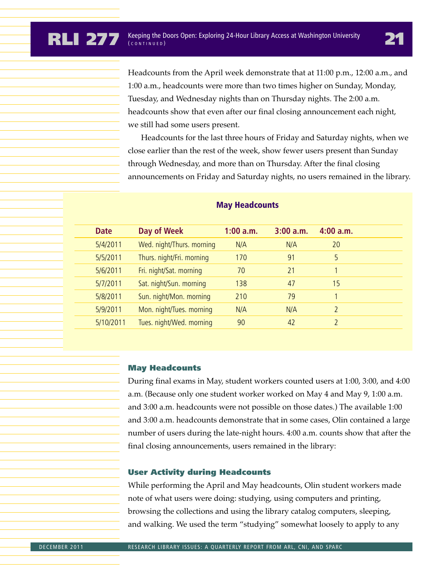Headcounts from the April week demonstrate that at 11:00 p.m., 12:00 a.m., and 1:00 a.m., headcounts were more than two times higher on Sunday, Monday, Tuesday, and Wednesday nights than on Thursday nights. The 2:00 a.m. headcounts show that even after our final closing announcement each night, we still had some users present.

Headcounts for the last three hours of Friday and Saturday nights, when we close earlier than the rest of the week, show fewer users present than Sunday through Wednesday, and more than on Thursday. After the final closing announcements on Friday and Saturday nights, no users remained in the library.

| <b>Date</b> | Day of Week               | $1:00$ a.m. | 3:00 a.m. | 4:00 a.m.     |
|-------------|---------------------------|-------------|-----------|---------------|
| 5/4/2011    | Wed. night/Thurs. morning | N/A         | N/A       | 20            |
| 5/5/2011    | Thurs. night/Fri. morning | 170         | 91        | 5             |
| 5/6/2011    | Fri. night/Sat. morning   | 70          | 21        |               |
| 5/7/2011    | Sat. night/Sun. morning   | 138         | 47        | 15            |
| 5/8/2011    | Sun. night/Mon. morning   | 210         | 79        |               |
| 5/9/2011    | Mon. night/Tues. morning  | N/A         | N/A       |               |
| 5/10/2011   | Tues. night/Wed. morning  | 90          | 42        | $\mathcal{D}$ |
|             |                           |             |           |               |

#### May Headcounts

#### May Headcounts

During final exams in May, student workers counted users at 1:00, 3:00, and 4:00 a.m. (Because only one student worker worked on May 4 and May 9, 1:00 a.m. and 3:00 a.m. headcounts were not possible on those dates.) The available 1:00 and 3:00 a.m. headcounts demonstrate that in some cases, Olin contained a large number of users during the late-night hours. 4:00 a.m. counts show that after the final closing announcements, users remained in the library:

#### User Activity during Headcounts

While performing the April and May headcounts, Olin student workers made note of what users were doing: studying, using computers and printing, browsing the collections and using the library catalog computers, sleeping, and walking. We used the term "studying" somewhat loosely to apply to any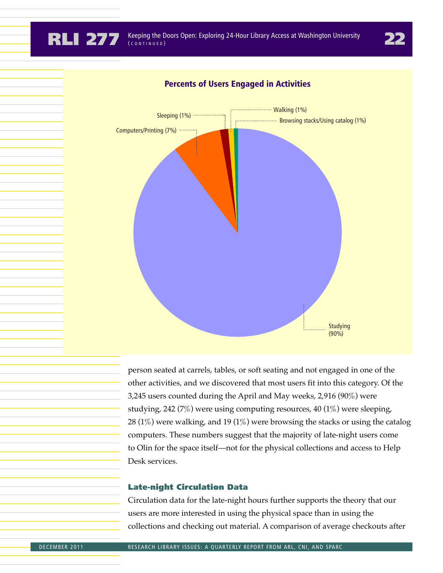

### Percents of Users Engaged in Activities

person seated at carrels, tables, or soft seating and not engaged in one of the other activities, and we discovered that most users fit into this category. Of the 3,245 users counted during the April and May weeks, 2,916 (90%) were studying, 242 (7%) were using computing resources, 40 (1%) were sleeping, 28 (1%) were walking, and 19 (1%) were browsing the stacks or using the catalog computers. These numbers suggest that the majority of late-night users come to Olin for the space itself—not for the physical collections and access to Help Desk services.

#### Late-night Circulation Data

Circulation data for the late-night hours further supports the theory that our users are more interested in using the physical space than in using the collections and checking out material. A comparison of average checkouts after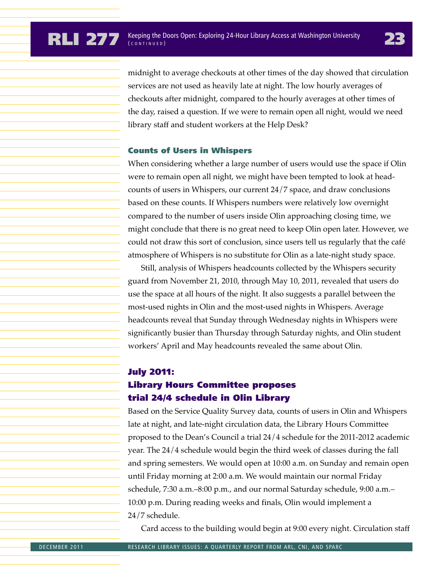midnight to average checkouts at other times of the day showed that circulation services are not used as heavily late at night. The low hourly averages of checkouts after midnight, compared to the hourly averages at other times of the day, raised a question. If we were to remain open all night, would we need library staff and student workers at the Help Desk?

#### Counts of Users in Whispers

When considering whether a large number of users would use the space if Olin were to remain open all night, we might have been tempted to look at headcounts of users in Whispers, our current 24/7 space, and draw conclusions based on these counts. If Whispers numbers were relatively low overnight compared to the number of users inside Olin approaching closing time, we might conclude that there is no great need to keep Olin open later. However, we could not draw this sort of conclusion, since users tell us regularly that the café atmosphere of Whispers is no substitute for Olin as a late-night study space.

Still, analysis of Whispers headcounts collected by the Whispers security guard from November 21, 2010, through May 10, 2011, revealed that users do use the space at all hours of the night. It also suggests a parallel between the most-used nights in Olin and the most-used nights in Whispers. Average headcounts reveal that Sunday through Wednesday nights in Whispers were significantly busier than Thursday through Saturday nights, and Olin student workers' April and May headcounts revealed the same about Olin.

## July 2011: Library Hours Committee proposes trial 24/4 schedule in Olin Library

Based on the Service Quality Survey data, counts of users in Olin and Whispers late at night, and late-night circulation data, the Library Hours Committee proposed to the Dean's Council a trial 24/4 schedule for the 2011-2012 academic year. The 24/4 schedule would begin the third week of classes during the fall and spring semesters. We would open at 10:00 a.m. on Sunday and remain open until Friday morning at 2:00 a.m. We would maintain our normal Friday schedule, 7:30 a.m.–8:00 p.m., and our normal Saturday schedule, 9:00 a.m.– 10:00 p.m. During reading weeks and finals, Olin would implement a 24/7 schedule.

Card access to the building would begin at 9:00 every night. Circulation staff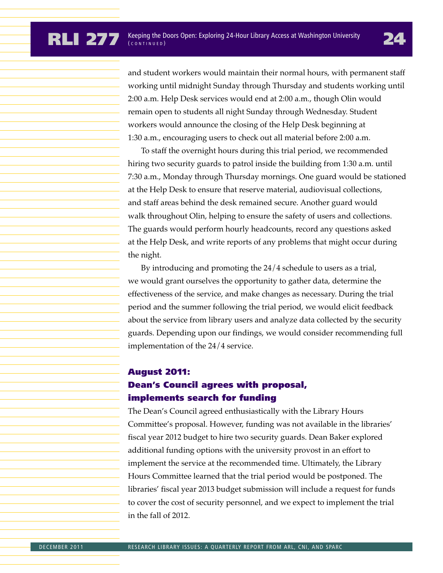and student workers would maintain their normal hours, with permanent staff working until midnight Sunday through Thursday and students working until 2:00 a.m. Help Desk services would end at 2:00 a.m., though Olin would remain open to students all night Sunday through Wednesday. Student workers would announce the closing of the Help Desk beginning at 1:30 a.m., encouraging users to check out all material before 2:00 a.m.

To staff the overnight hours during this trial period, we recommended hiring two security guards to patrol inside the building from 1:30 a.m. until 7:30 a.m., Monday through Thursday mornings. One guard would be stationed at the Help Desk to ensure that reserve material, audiovisual collections, and staff areas behind the desk remained secure. Another guard would walk throughout Olin, helping to ensure the safety of users and collections. The guards would perform hourly headcounts, record any questions asked at the Help Desk, and write reports of any problems that might occur during the night.

By introducing and promoting the 24/4 schedule to users as a trial, we would grant ourselves the opportunity to gather data, determine the effectiveness of the service, and make changes as necessary. During the trial period and the summer following the trial period, we would elicit feedback about the service from library users and analyze data collected by the security guards. Depending upon our findings, we would consider recommending full implementation of the 24/4 service.

## August 2011: Dean's Council agrees with proposal, implements search for funding

The Dean's Council agreed enthusiastically with the Library Hours Committee's proposal. However, funding was not available in the libraries' fiscal year 2012 budget to hire two security guards. Dean Baker explored additional funding options with the university provost in an effort to implement the service at the recommended time. Ultimately, the Library Hours Committee learned that the trial period would be postponed. The libraries' fiscal year 2013 budget submission will include a request for funds to cover the cost of security personnel, and we expect to implement the trial in the fall of 2012.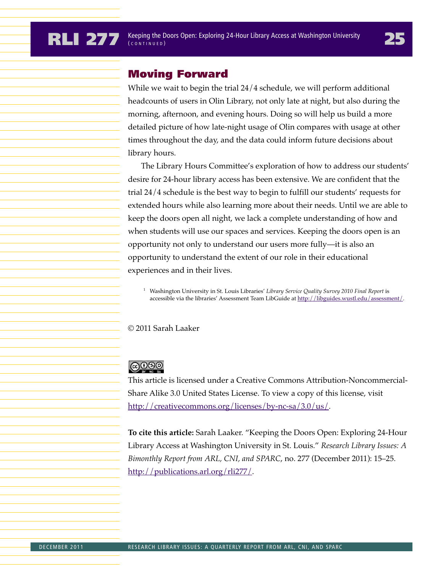## Moving Forward

While we wait to begin the trial 24/4 schedule, we will perform additional headcounts of users in Olin Library, not only late at night, but also during the morning, afternoon, and evening hours. Doing so will help us build a more detailed picture of how late-night usage of Olin compares with usage at other times throughout the day, and the data could inform future decisions about library hours.

The Library Hours Committee's exploration of how to address our students' desire for 24-hour library access has been extensive. We are confident that the trial 24/4 schedule is the best way to begin to fulfill our students' requests for extended hours while also learning more about their needs. Until we are able to keep the doors open all night, we lack a complete understanding of how and when students will use our spaces and services. Keeping the doors open is an opportunity not only to understand our users more fully—it is also an opportunity to understand the extent of our role in their educational experiences and in their lives.

<sup>1</sup> Washington University in St. Louis Libraries' *Library Service Quality Survey 2010 Final Report* is accessible via the libraries' Assessment Team LibGuide at http://libguides.wustl.edu/assessment/.

© 2011 Sarah Laaker

## **@000**

This article is licensed under a Creative Commons Attribution-Noncommercial-Share Alike 3.0 United States License. To view a copy of this license, visit http://creativecommons.org/licenses/by-nc-sa/3.0/us/.

**To cite this article:** Sarah Laaker. "Keeping the Doors Open: Exploring 24-Hour Library Access at Washington University in St. Louis." *Research Library Issues: A Bimonthly Report from ARL, CNI, and SPARC*, no. 277 (December 2011): 15–25. http://publications.arl.org/rli277/.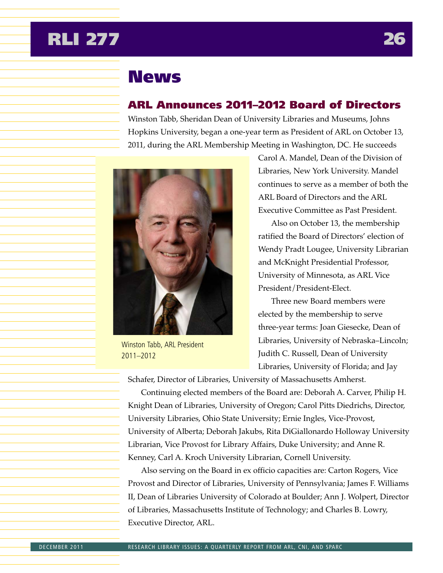## <span id="page-26-0"></span>**RLI 277**

## **News**

## ARL Announces 2011–2012 Board of Directors

Winston Tabb, Sheridan Dean of University Libraries and Museums, Johns Hopkins University, began a one-year term as President of ARL on October 13, 2011, during the ARL Membership Meeting in Washington, DC. He succeeds



Winston Tabb, ARL President 2011–2012

Carol A. Mandel, Dean of the Division of Libraries, New York University. Mandel continues to serve as a member of both the ARL Board of Directors and the ARL Executive Committee as Past President.

Also on October 13, the membership ratified the Board of Directors' election of Wendy Pradt Lougee, University Librarian and McKnight Presidential Professor, University of Minnesota, as ARL Vice President/President-Elect.

Three new Board members were elected by the membership to serve three-year terms: Joan Giesecke, Dean of Libraries, University of Nebraska–Lincoln; Judith C. Russell, Dean of University Libraries, University of Florida; and Jay

Schafer, Director of Libraries, University of Massachusetts Amherst.

Continuing elected members of the Board are: Deborah A. Carver, Philip H. Knight Dean of Libraries, University of Oregon; Carol Pitts Diedrichs, Director, University Libraries, Ohio State University; Ernie Ingles, Vice-Provost, University of Alberta; Deborah Jakubs, Rita DiGiallonardo Holloway University Librarian, Vice Provost for Library Affairs, Duke University; and Anne R. Kenney, Carl A. Kroch University Librarian, Cornell University.

Also serving on the Board in ex officio capacities are: Carton Rogers, Vice Provost and Director of Libraries, University of Pennsylvania; James F. Williams II, Dean of Libraries University of Colorado at Boulder; Ann J. Wolpert, Director of Libraries, Massachusetts Institute of Technology; and Charles B. Lowry, Executive Director, ARL.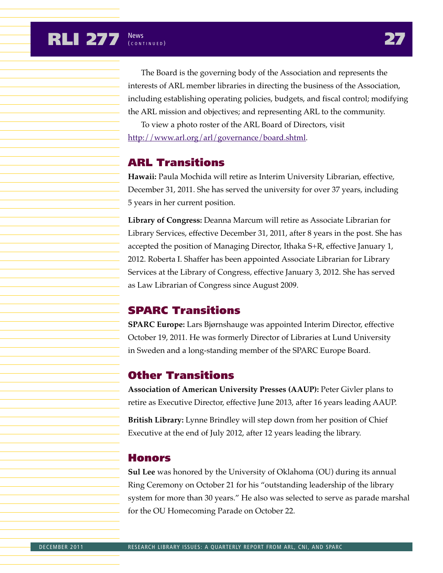## **RLI 277** News **27**

The Board is the governing body of the Association and represents the interests of ARL member libraries in directing the business of the Association, including establishing operating policies, budgets, and fiscal control; modifying the ARL mission and objectives; and representing ARL to the community.

To view a photo roster of the ARL Board of Directors, visit http://www.arl.org/arl/governance/board.shtml.

## ARL Transitions

**Hawaii:** Paula Mochida will retire as Interim University Librarian, effective, December 31, 2011. She has served the university for over 37 years, including 5 years in her current position.

**Library of Congress:** Deanna Marcum will retire as Associate Librarian for Library Services, effective December 31, 2011, after 8 years in the post. She has accepted the position of Managing Director, Ithaka S+R, effective January 1, 2012. Roberta I. Shaffer has been appointed Associate Librarian for Library Services at the Library of Congress, effective January 3, 2012. She has served as Law Librarian of Congress since August 2009.

## SPARC Transitions

**SPARC Europe:** Lars Bjørnshauge was appointed Interim Director, effective October 19, 2011. He was formerly Director of Libraries at Lund University in Sweden and a long-standing member of the SPARC Europe Board.

## Other Transitions

**Association of American University Presses (AAUP):** Peter Givler plans to retire as Executive Director, effective June 2013, after 16 years leading AAUP.

**British Library:** Lynne Brindley will step down from her position of Chief Executive at the end of July 2012, after 12 years leading the library.

## Honors

**Sul Lee** was honored by the University of Oklahoma (OU) during its annual Ring Ceremony on October 21 for his "outstanding leadership of the library system for more than 30 years." He also was selected to serve as parade marshal for the OU Homecoming Parade on October 22.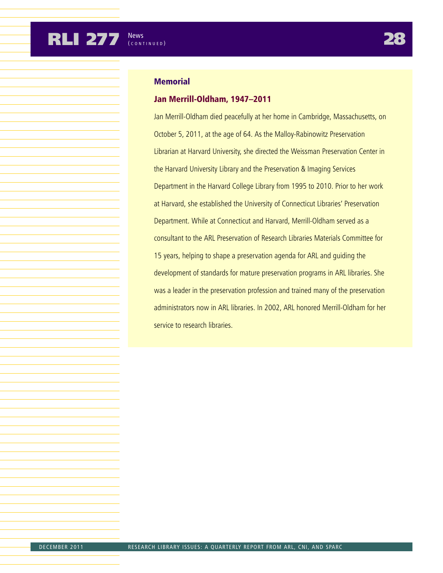### **Memorial**

#### Jan Merrill-Oldham, 1947–2011

Jan Merrill-Oldham died peacefully at her home in Cambridge, Massachusetts, on October 5, 2011, at the age of 64. As the Malloy-Rabinowitz Preservation Librarian at Harvard University, she directed the Weissman Preservation Center in the Harvard University Library and the Preservation & Imaging Services Department in the Harvard College Library from 1995 to 2010. Prior to her work at Harvard, she established the University of Connecticut Libraries' Preservation Department. While at Connecticut and Harvard, Merrill-Oldham served as a consultant to the ARL Preservation of Research Libraries Materials Committee for 15 years, helping to shape a preservation agenda for ARL and guiding the development of standards for mature preservation programs in ARL libraries. She was a leader in the preservation profession and trained many of the preservation administrators now in ARL libraries. In 2002, ARL honored Merrill-Oldham for her service to research libraries.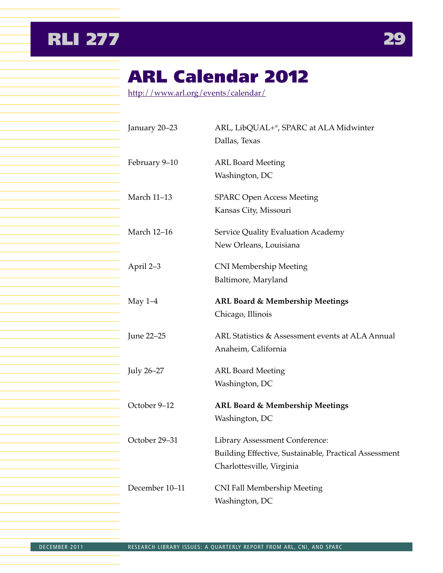<span id="page-29-0"></span>



## ARL Calendar 2012

http://www.arl.org/events/calendar/

| January 20-23      | ARL, LibQUAL+®, SPARC at ALA Midwinter<br>Dallas, Texas                                                                     |
|--------------------|-----------------------------------------------------------------------------------------------------------------------------|
| February 9-10      | <b>ARL Board Meeting</b><br>Washington, DC                                                                                  |
| <b>March 11-13</b> | <b>SPARC Open Access Meeting</b><br>Kansas City, Missouri                                                                   |
| <b>March 12-16</b> | Service Quality Evaluation Academy<br>New Orleans, Louisiana                                                                |
| April 2–3          | <b>CNI Membership Meeting</b><br>Baltimore, Maryland                                                                        |
| May $1-4$          | <b>ARL Board &amp; Membership Meetings</b><br>Chicago, Illinois                                                             |
| June 22-25         | ARL Statistics & Assessment events at ALA Annual<br>Anaheim, California                                                     |
| July 26–27         | <b>ARL Board Meeting</b><br>Washington, DC                                                                                  |
| October 9-12       | ARL Board & Membership Meetings<br>Washington, DC                                                                           |
| October 29-31      | <b>Library Assessment Conference:</b><br>Building Effective, Sustainable, Practical Assessment<br>Charlottesville, Virginia |
| December 10-11     | <b>CNI Fall Membership Meeting</b><br>Washington, DC                                                                        |